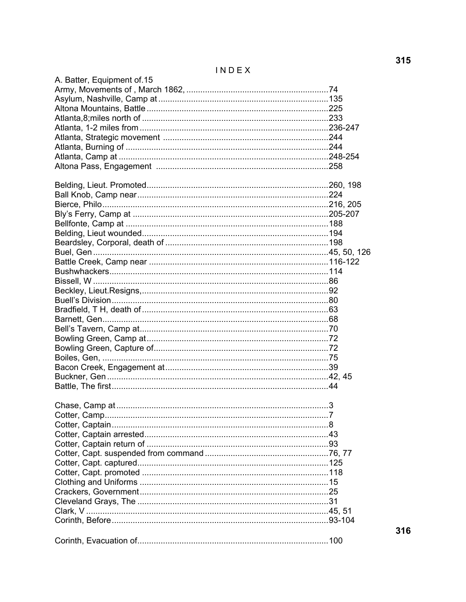INDEX

| A. Batter, Equipment of 15 |  |
|----------------------------|--|
|                            |  |
|                            |  |
|                            |  |
|                            |  |
|                            |  |
|                            |  |
|                            |  |
|                            |  |
|                            |  |
|                            |  |
|                            |  |
|                            |  |
|                            |  |
|                            |  |
|                            |  |
|                            |  |
|                            |  |
|                            |  |
|                            |  |
|                            |  |
|                            |  |
|                            |  |
|                            |  |
|                            |  |
|                            |  |
|                            |  |
|                            |  |
|                            |  |
|                            |  |
|                            |  |
|                            |  |
|                            |  |
|                            |  |
|                            |  |
|                            |  |
|                            |  |
|                            |  |
|                            |  |
|                            |  |
|                            |  |
|                            |  |
|                            |  |
|                            |  |
|                            |  |
|                            |  |
|                            |  |
|                            |  |
|                            |  |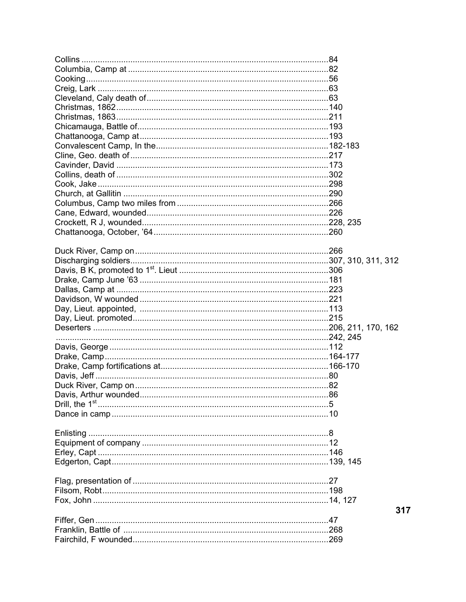|  | 317 |
|--|-----|
|  |     |
|  |     |
|  |     |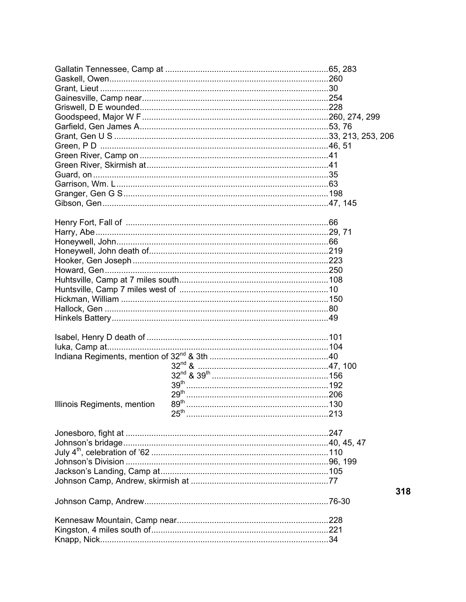| Illinois Regiments, mention | 89 <sup>th</sup> |     |
|-----------------------------|------------------|-----|
|                             |                  |     |
|                             |                  |     |
|                             |                  |     |
|                             |                  |     |
|                             |                  |     |
|                             |                  |     |
|                             |                  |     |
|                             |                  |     |
|                             |                  | 318 |
|                             |                  |     |
|                             |                  |     |
|                             |                  |     |
|                             |                  |     |
|                             |                  |     |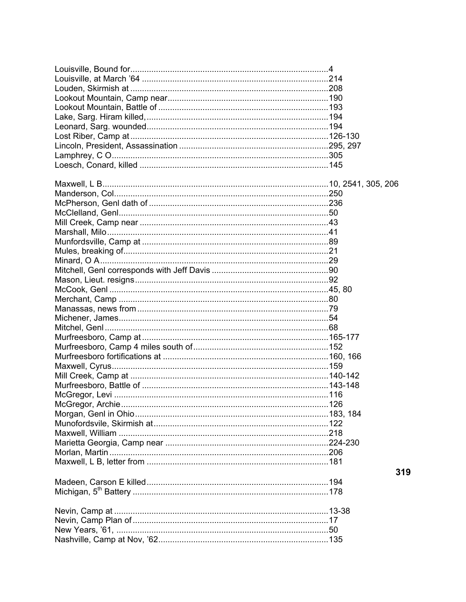| 319 |
|-----|
|     |
|     |
|     |
|     |
|     |
|     |
|     |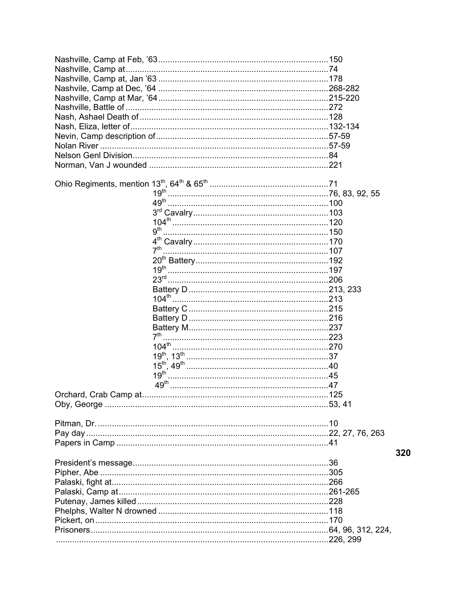|                        | 9 <sup>th</sup> |     |
|------------------------|-----------------|-----|
|                        |                 |     |
|                        | 7 <sup>th</sup> |     |
|                        |                 |     |
|                        |                 |     |
|                        |                 |     |
|                        |                 |     |
|                        |                 |     |
|                        |                 |     |
|                        |                 |     |
|                        |                 |     |
|                        |                 |     |
|                        |                 |     |
|                        |                 |     |
|                        |                 |     |
|                        |                 |     |
|                        |                 |     |
| Orchard, Crab Camp at. |                 |     |
|                        |                 |     |
|                        |                 |     |
|                        |                 |     |
|                        |                 |     |
|                        |                 | 320 |
|                        |                 |     |
|                        |                 |     |
|                        |                 |     |
|                        |                 |     |
|                        |                 |     |
|                        |                 |     |
|                        |                 |     |
|                        |                 |     |
|                        |                 |     |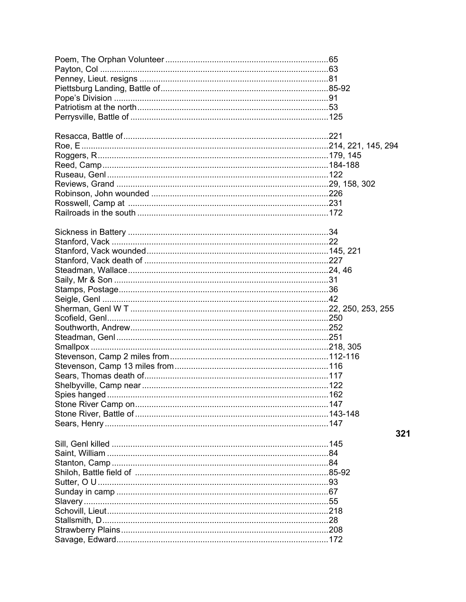| Roggers, R……………………………………………………………………………………179, 145 |     |
|----------------------------------------------------|-----|
|                                                    |     |
|                                                    |     |
|                                                    |     |
|                                                    |     |
|                                                    |     |
|                                                    |     |
|                                                    |     |
|                                                    |     |
|                                                    |     |
|                                                    |     |
|                                                    |     |
|                                                    |     |
|                                                    |     |
|                                                    |     |
|                                                    |     |
|                                                    |     |
|                                                    |     |
|                                                    |     |
|                                                    |     |
|                                                    |     |
|                                                    |     |
|                                                    |     |
|                                                    |     |
|                                                    |     |
| Spies hanged                                       |     |
|                                                    |     |
|                                                    |     |
|                                                    |     |
|                                                    |     |
|                                                    | 321 |
|                                                    |     |
|                                                    |     |
|                                                    |     |
|                                                    |     |
|                                                    |     |
|                                                    |     |
|                                                    |     |
|                                                    |     |
|                                                    |     |
|                                                    |     |
|                                                    |     |